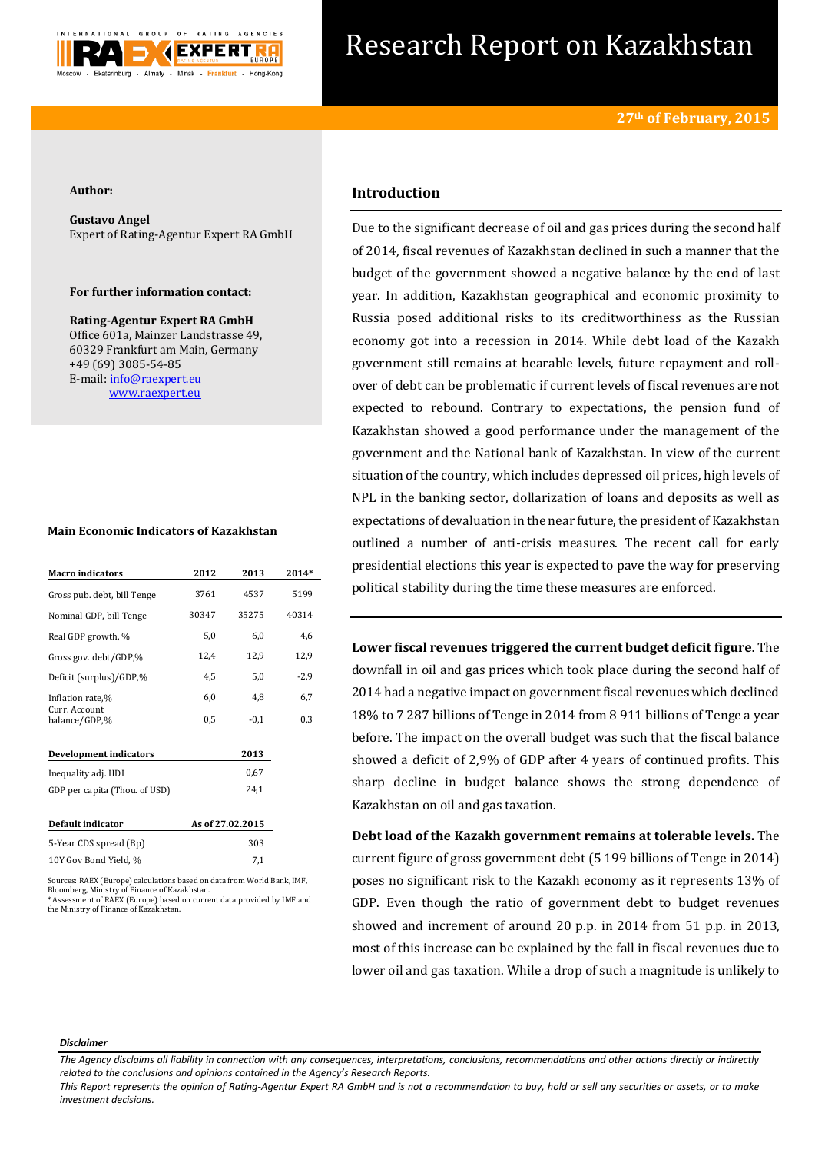

# Research Report on Kazakhstan

## **Author:**

**Gustavo Angel** Expert of Rating-Agentur Expert RA GmbH

## **For further information contact:**

**Rating-Agentur Expert RA GmbH** Office 601a, Mainzer Landstrasse 49, 60329 Frankfurt am Main, Germany +49 (69) 3085-54-85 E-mail[: info@raexpert.eu](mailto:info@raexpert.eu) [www.raexpert.eu](http://raexpert.eu/)

## **Main Economic Indicators of Kazakhstan**

| <b>Macro</b> indicators        | 2012             | 2013   | 2014*  |
|--------------------------------|------------------|--------|--------|
| Gross pub. debt, bill Tenge    | 3761             | 4537   | 5199   |
| Nominal GDP, bill Tenge        | 30347            | 35275  | 40314  |
| Real GDP growth, %             | 5,0              | 6,0    | 4,6    |
| Gross gov. debt/GDP,%          | 12,4             | 12,9   | 12,9   |
| Deficit (surplus)/GDP,%        | 4,5              | 5,0    | $-2,9$ |
| Inflation rate,%               | 6,0              | 4,8    | 6,7    |
| Curr. Account<br>balance/GDP,% | 0,5              | $-0,1$ | 0,3    |
| <b>Development indicators</b>  |                  | 2013   |        |
| Inequality adj. HDI            |                  | 0,67   |        |
| GDP per capita (Thou. of USD)  |                  | 24,1   |        |
| Default indicator              | As of 27.02.2015 |        |        |
| 5-Year CDS spread (Bp)         |                  | 303    |        |
| 10Y Gov Bond Yield. %          |                  | 7.1    |        |

Sources: RAEX (Europe) calculations based on data from World Bank, IMF, Bloomberg, Ministry of Finance of Kazakhstan. \* Assessment of RAEX (Europe) based on current data provided by IMF and the Ministry of Finance of Kazakhstan.

# **Introduction**

Due to the significant decrease of oil and gas prices during the second half of 2014, fiscal revenues of Kazakhstan declined in such a manner that the budget of the government showed a negative balance by the end of last year. In addition, Kazakhstan geographical and economic proximity to Russia posed additional risks to its creditworthiness as the Russian economy got into a recession in 2014. While debt load of the Kazakh government still remains at bearable levels, future repayment and rollover of debt can be problematic if current levels of fiscal revenues are not expected to rebound. Contrary to expectations, the pension fund of Kazakhstan showed a good performance under the management of the government and the National bank of Kazakhstan. In view of the current situation of the country, which includes depressed oil prices, high levels of NPL in the banking sector, dollarization of loans and deposits as well as expectations of devaluation in the near future, the president of Kazakhstan outlined a number of anti-crisis measures. The recent call for early presidential elections this year is expected to pave the way for preserving political stability during the time these measures are enforced.

**Lower fiscal revenues triggered the current budget deficit figure.** The downfall in oil and gas prices which took place during the second half of 2014 had a negative impact on government fiscal revenues which declined 18% to 7 287 billions of Tenge in 2014 from 8 911 billions of Tenge a year before. The impact on the overall budget was such that the fiscal balance showed a deficit of 2,9% of GDP after 4 years of continued profits. This sharp decline in budget balance shows the strong dependence of Kazakhstan on oil and gas taxation.

**Debt load of the Kazakh government remains at tolerable levels.** The current figure of gross government debt (5 199 billions of Tenge in 2014) poses no significant risk to the Kazakh economy as it represents 13% of GDP. Even though the ratio of government debt to budget revenues showed and increment of around 20 p.p. in 2014 from 51 p.p. in 2013, most of this increase can be explained by the fall in fiscal revenues due to lower oil and gas taxation. While a drop of such a magnitude is unlikely to

#### *Disclaimer*

*This Report represents the opinion of Rating-Agentur Expert RA GmbH and is not a recommendation to buy, hold or sell any securities or assets, or to make investment decisions.*

*The Agency disclaims all liability in connection with any consequences, interpretations, conclusions, recommendations and other actions directly or indirectly related to the conclusions and opinions contained in the Agency's Research Reports.*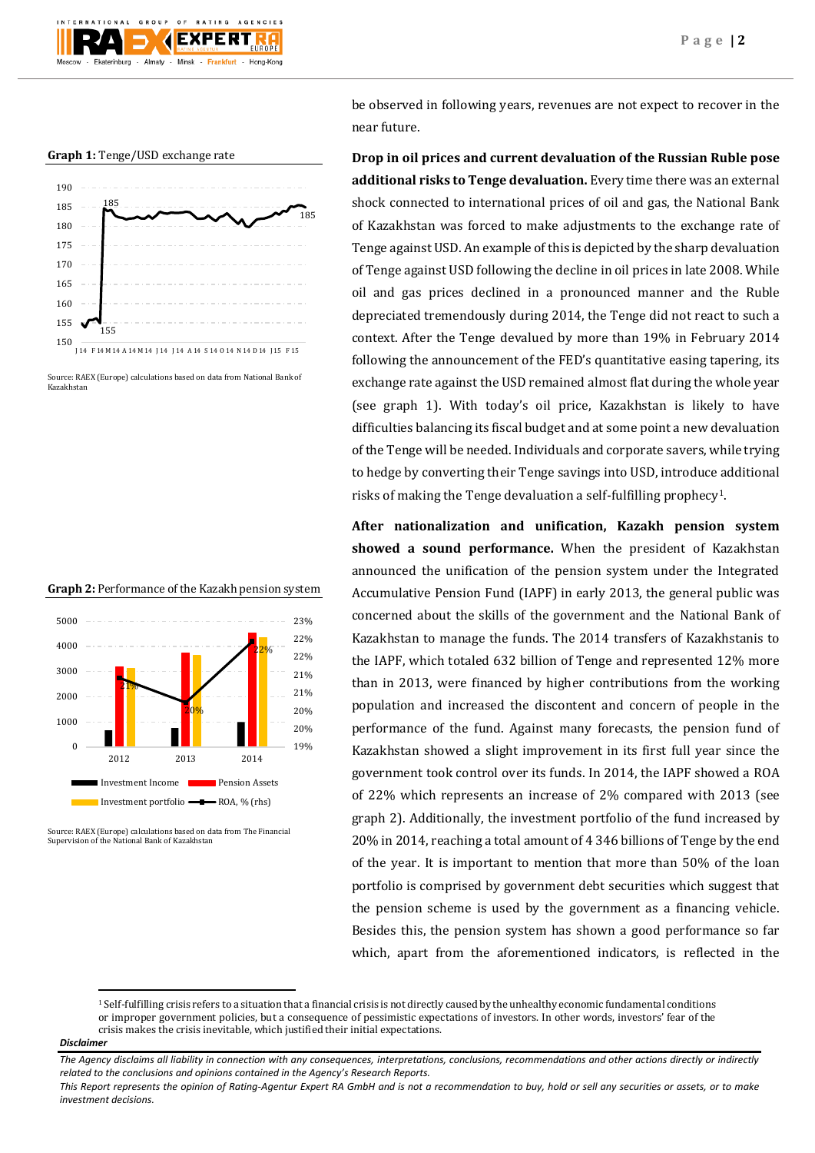





Source: RAEX (Europe) calculations based on data from National Bank of Kazakhstan





Source: RAEX (Europe) calculations based on data from The Financial Supervision of the National Bank of Kazakhstan

be observed in following years, revenues are not expect to recover in the near future.

**Drop in oil prices and current devaluation of the Russian Ruble pose additional risks to Tenge devaluation.** Every time there was an external shock connected to international prices of oil and gas, the National Bank of Kazakhstan was forced to make adjustments to the exchange rate of Tenge against USD. An example of this is depicted by the sharp devaluation of Tenge against USD following the decline in oil prices in late 2008. While oil and gas prices declined in a pronounced manner and the Ruble depreciated tremendously during 2014, the Tenge did not react to such a context. After the Tenge devalued by more than 19% in February 2014 following the announcement of the FED's quantitative easing tapering, its exchange rate against the USD remained almost flat during the whole year (see graph 1). With today's oil price, Kazakhstan is likely to have difficulties balancing its fiscal budget and at some point a new devaluation of the Tenge will be needed. Individuals and corporate savers, while trying to hedge by converting their Tenge savings into USD, introduce additional risks of making the Tenge devaluation a self-fulfilling prophecy1.

**After nationalization and unification, Kazakh pension system showed a sound performance.** When the president of Kazakhstan announced the unification of the pension system under the Integrated Accumulative Pension Fund (IAPF) in early 2013, the general public was concerned about the skills of the government and the National Bank of Kazakhstan to manage the funds. The 2014 transfers of Kazakhstanis to the IAPF, which totaled 632 billion of Tenge and represented 12% more than in 2013, were financed by higher contributions from the working population and increased the discontent and concern of people in the performance of the fund. Against many forecasts, the pension fund of Kazakhstan showed a slight improvement in its first full year since the government took control over its funds. In 2014, the IAPF showed a ROA of 22% which represents an increase of 2% compared with 2013 (see graph 2). Additionally, the investment portfolio of the fund increased by 20% in 2014, reaching a total amount of 4 346 billions of Tenge by the end of the year. It is important to mention that more than 50% of the loan portfolio is comprised by government debt securities which suggest that the pension scheme is used by the government as a financing vehicle. Besides this, the pension system has shown a good performance so far which, apart from the aforementioned indicators, is reflected in the

**.** 

 $1$  Self-fulfilling crisis refers to a situation that [a financial crisis](http://en.wikipedia.org/wiki/Financial_crisis) is not directly caused by the unhealthy economic fundamental conditions or improper government policies, but a consequence of pessimistic expectations of investors. In other words, investors' fear of the crisis makes the crisis inevitable, which justified their initial expectations.

*Disclaimer* 

*The Agency disclaims all liability in connection with any consequences, interpretations, conclusions, recommendations and other actions directly or indirectly related to the conclusions and opinions contained in the Agency's Research Reports.*

*This Report represents the opinion of Rating-Agentur Expert RA GmbH and is not a recommendation to buy, hold or sell any securities or assets, or to make investment decisions.*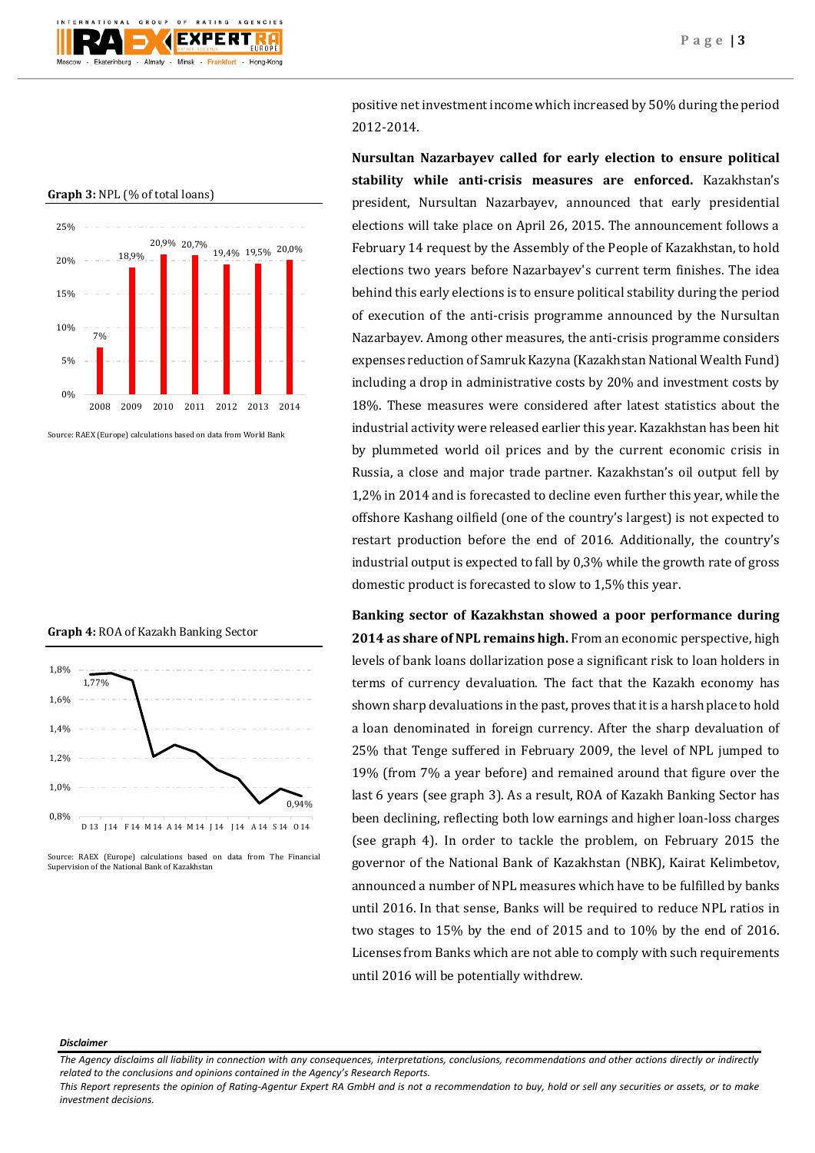

## **Graph 3:** NPL (% of total loans)



Source: RAEX (Europe) calculations based on data from World Bank

### **Graph 4:** ROA of Kazakh Banking Sector



Source: RAEX (Europe) calculations based on data from The Financial Supervision of the National Bank of Kazakhstan

positive net investment income which increased by 50% during the period 2012-2014.

**Nursultan Nazarbayev called for early election to ensure political stability while anti-crisis measures are enforced.** Kazakhstan's president, Nursultan Nazarbayev, announced that early presidential elections will take place on April 26, 2015. The announcement follows a February 14 request by the Assembly of the People of Kazakhstan, to hold elections two years before Nazarbayev's current term finishes. The idea behind this early elections is to ensure political stability during the period of execution of the anti-crisis programme announced by the Nursultan Nazarbayev. Among other measures, the anti-crisis programme considers expenses reduction of Samruk Kazyna (Kazakhstan National Wealth Fund) including a drop in administrative costs by 20% and investment costs by 18%. These measures were considered after latest statistics about the industrial activity were released earlier this year. Kazakhstan has been hit by plummeted world oil prices and by the current economic crisis in Russia, a close and major trade partner. Kazakhstan's oil output fell by 1,2% in 2014 and is forecasted to decline even further this year, while the offshore Kashang oilfield (one of the country's largest) is not expected to restart production before the end of 2016. Additionally, the country's industrial output is expected to fall by 0,3% while the growth rate of gross domestic product is forecasted to slow to 1,5% this year.

**Banking sector of Kazakhstan showed a poor performance during 2014 as share of NPL remains high.** From an economic perspective, high levels of bank loans dollarization pose a significant risk to loan holders in terms of currency devaluation. The fact that the Kazakh economy has shown sharp devaluations in the past, proves that it is a harsh place to hold a loan denominated in foreign currency. After the sharp devaluation of 25% that Tenge suffered in February 2009, the level of NPL jumped to 19% (from 7% a year before) and remained around that figure over the last 6 years (see graph 3). As a result, ROA of Kazakh Banking Sector has been declining, reflecting both low earnings and higher loan-loss charges (see graph 4). In order to tackle the problem, on February 2015 the governor of the National Bank of Kazakhstan (NBK), Kairat Kelimbetov, announced a number of NPL measures which have to be fulfilled by banks until 2016. In that sense, Banks will be required to reduce NPL ratios in two stages to 15% by the end of 2015 and to 10% by the end of 2016. Licenses from Banks which are not able to comply with such requirements until 2016 will be potentially withdrew.

#### *Disclaimer*

*The Agency disclaims all liability in connection with any consequences, interpretations, conclusions, recommendations and other actions directly or indirectly related to the conclusions and opinions contained in the Agency's Research Reports.*

*This Report represents the opinion of Rating-Agentur Expert RA GmbH and is not a recommendation to buy, hold or sell any securities or assets, or to make investment decisions.*